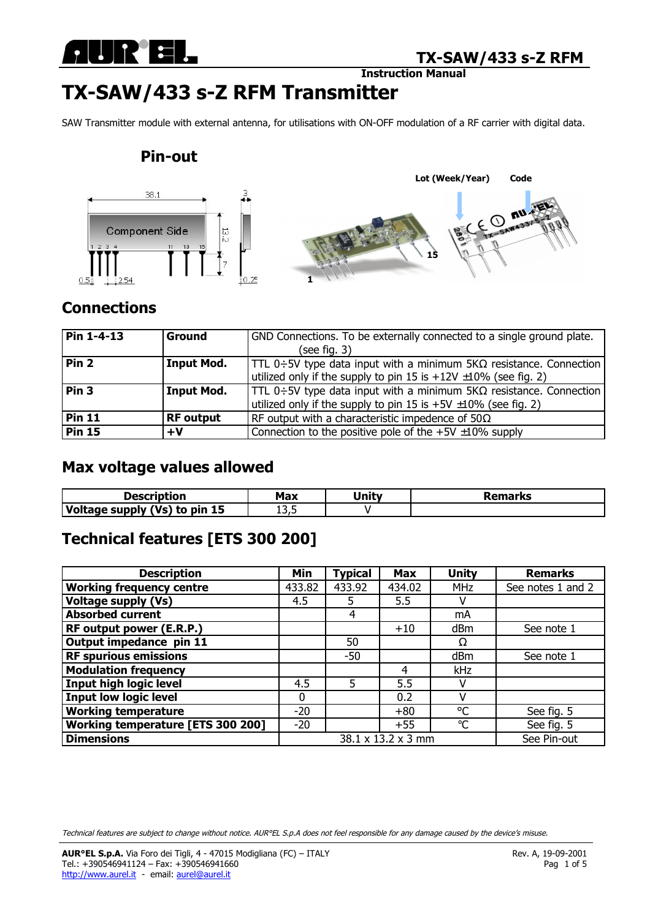

**Instruction Manual** 

# **TX-SAW/433 s-Z RFM Transmitter**

SAW Transmitter module with external antenna, for utilisations with ON-OFF modulation of a RF carrier with digital data.

### **Pin-out**



### **Connections**

| Pin 1-4-13       | Ground            | GND Connections. To be externally connected to a single ground plate.             |  |  |  |
|------------------|-------------------|-----------------------------------------------------------------------------------|--|--|--|
|                  |                   | (see fig. $3)$                                                                    |  |  |  |
| Pin <sub>2</sub> | <b>Input Mod.</b> | $ TTL 0 \div 5V$ type data input with a minimum $5K\Omega$ resistance. Connection |  |  |  |
|                  |                   | utilized only if the supply to pin 15 is $+12V \pm 10\%$ (see fig. 2)             |  |  |  |
| Pin <sub>3</sub> | <b>Input Mod.</b> | TTL 0÷5V type data input with a minimum 5K $\Omega$ resistance. Connection        |  |  |  |
|                  |                   | utilized only if the supply to pin 15 is $+5V \pm 10\%$ (see fig. 2)              |  |  |  |
| <b>Pin 11</b>    | <b>RF</b> output  | RF output with a characteristic impedence of $50\Omega$                           |  |  |  |
| <b>Pin 15</b>    | +V                | Connection to the positive pole of the $+5V \pm 10\%$ supply                      |  |  |  |

### **Max voltage values allowed**

| Description                   | Msv<br>™ld∧ | Unity | Remarks |
|-------------------------------|-------------|-------|---------|
| Voltage supply (Vs) to pin 15 | 1 J J J     |       |         |

# **Technical features [ETS 300 200]**

| <b>Description</b>                | Min                | <b>Typical</b> | <b>Max</b> | <b>Unity</b>    | <b>Remarks</b>    |
|-----------------------------------|--------------------|----------------|------------|-----------------|-------------------|
| <b>Working frequency centre</b>   | 433.82             | 433.92         | 434.02     | <b>MHz</b>      | See notes 1 and 2 |
| <b>Voltage supply (Vs)</b>        | 4.5                | 5.             | 5.5        |                 |                   |
| <b>Absorbed current</b>           |                    | 4              |            | mA              |                   |
| RF output power (E.R.P.)          |                    |                | $+10$      | d <sub>Bm</sub> | See note 1        |
| Output impedance pin 11           |                    | 50             |            | Ω               |                   |
| <b>RF spurious emissions</b>      |                    | $-50$          |            | dBm             | See note 1        |
| <b>Modulation frequency</b>       |                    |                | 4          | kHz             |                   |
| <b>Input high logic level</b>     | 4.5                | 5              | 5.5        |                 |                   |
| <b>Input low logic level</b>      | 0                  |                | 0.2        |                 |                   |
| <b>Working temperature</b>        | $-20$              |                | $+80$      | °C              | See fig. 5        |
| Working temperature [ETS 300 200] | $-20$              |                | $+55$      | $\circ$ C       | See fig. 5        |
| <b>Dimensions</b>                 | 38.1 x 13.2 x 3 mm |                |            |                 | See Pin-out       |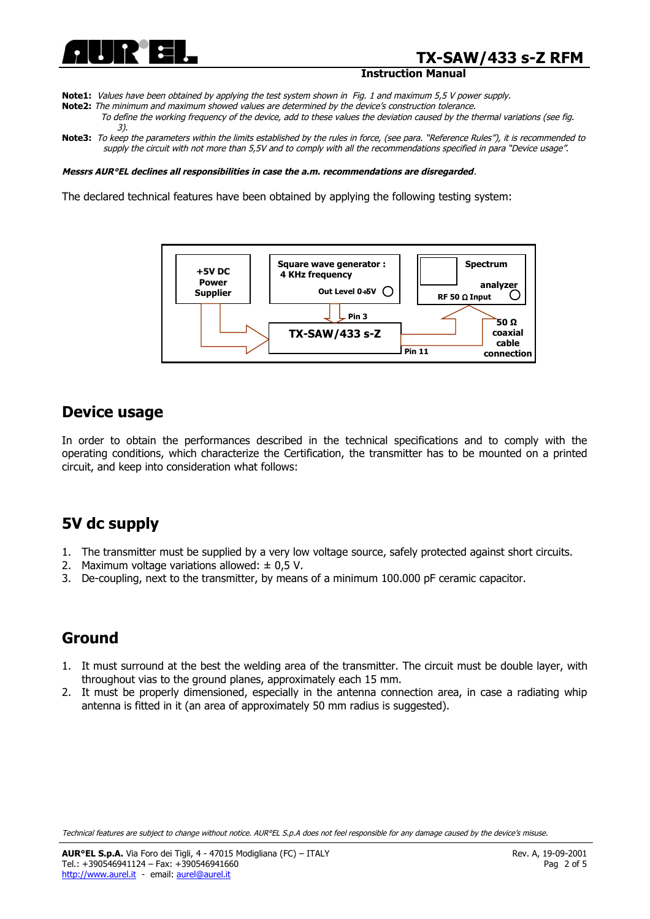

### **TX-SAW/433 s-Z RFM**

#### **Instruction Manual**

- **Note1:** Values have been obtained by applying the test system shown in Fig. 1 and maximum 5,5 V power supply.
- **Note2:** The minimum and maximum showed values are determined by the device's construction tolerance. To define the working frequency of the device, add to these values the deviation caused by the thermal variations (see fig. 3).
- Note3: To keep the parameters within the limits established by the rules in force, (see para. "Reference Rules"), it is recommended to supply the circuit with not more than 5,5V and to comply with all the recommendations specified in para "Device usage".

#### **Messrs AUR°EL declines all responsibilities in case the a.m. recommendations are disregarded**.

The declared technical features have been obtained by applying the following testing system:



### **Device usage**

In order to obtain the performances described in the technical specifications and to comply with the operating conditions, which characterize the Certification, the transmitter has to be mounted on a printed circuit, and keep into consideration what follows:

### **5V dc supply**

- 1. The transmitter must be supplied by a very low voltage source, safely protected against short circuits.
- 2. Maximum voltage variations allowed:  $\pm$  0,5 V.
- 3. De-coupling, next to the transmitter, by means of a minimum 100.000 pF ceramic capacitor.

### **Ground**

- 1. It must surround at the best the welding area of the transmitter. The circuit must be double layer, with throughout vias to the ground planes, approximately each 15 mm.
- 2. It must be properly dimensioned, especially in the antenna connection area, in case a radiating whip antenna is fitted in it (an area of approximately 50 mm radius is suggested).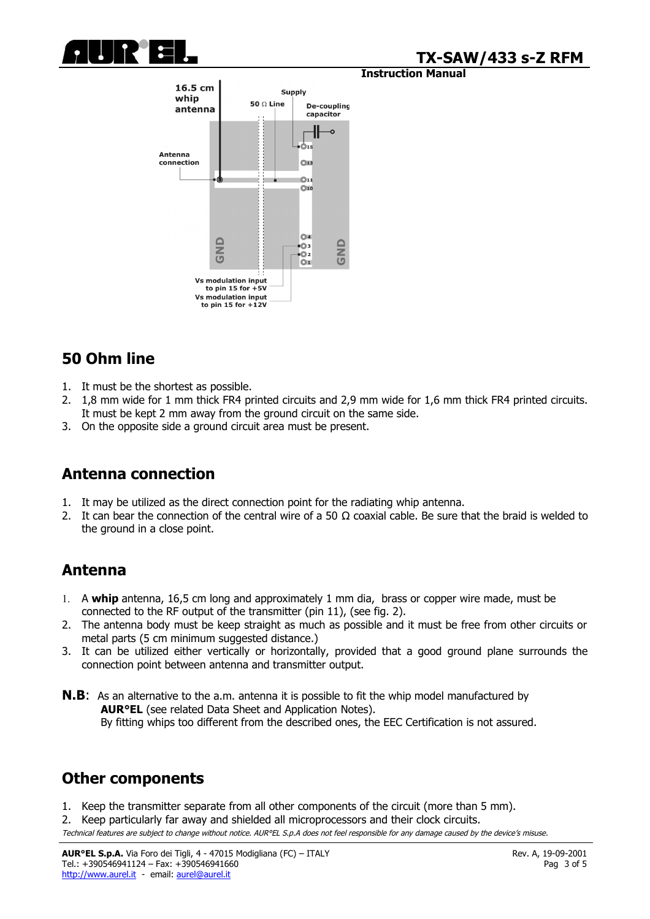

### **TX-SAW/433 s-Z RFM**

#### **Instruction Manual**



# **50 Ohm line**

- 1. It must be the shortest as possible.
- 2. 1,8 mm wide for 1 mm thick FR4 printed circuits and 2,9 mm wide for 1,6 mm thick FR4 printed circuits. It must be kept 2 mm away from the ground circuit on the same side.
- 3. On the opposite side a ground circuit area must be present.

# **Antenna connection**

- 1. It may be utilized as the direct connection point for the radiating whip antenna.
- 2. It can bear the connection of the central wire of a 50  $\Omega$  coaxial cable. Be sure that the braid is welded to the ground in a close point.

# **Antenna**

- 1. A **whip** antenna, 16,5 cm long and approximately 1 mm dia, brass or copper wire made, must be connected to the RF output of the transmitter (pin 11), (see fig. 2).
- 2. The antenna body must be keep straight as much as possible and it must be free from other circuits or metal parts (5 cm minimum suggested distance.)
- 3. It can be utilized either vertically or horizontally, provided that a good ground plane surrounds the connection point between antenna and transmitter output.
- **N.B:** As an alternative to the a.m. antenna it is possible to fit the whip model manufactured by **AUR°EL** (see related Data Sheet and Application Notes). By fitting whips too different from the described ones, the EEC Certification is not assured.

### **Other components**

1. Keep the transmitter separate from all other components of the circuit (more than 5 mm).

2. Keep particularly far away and shielded all microprocessors and their clock circuits.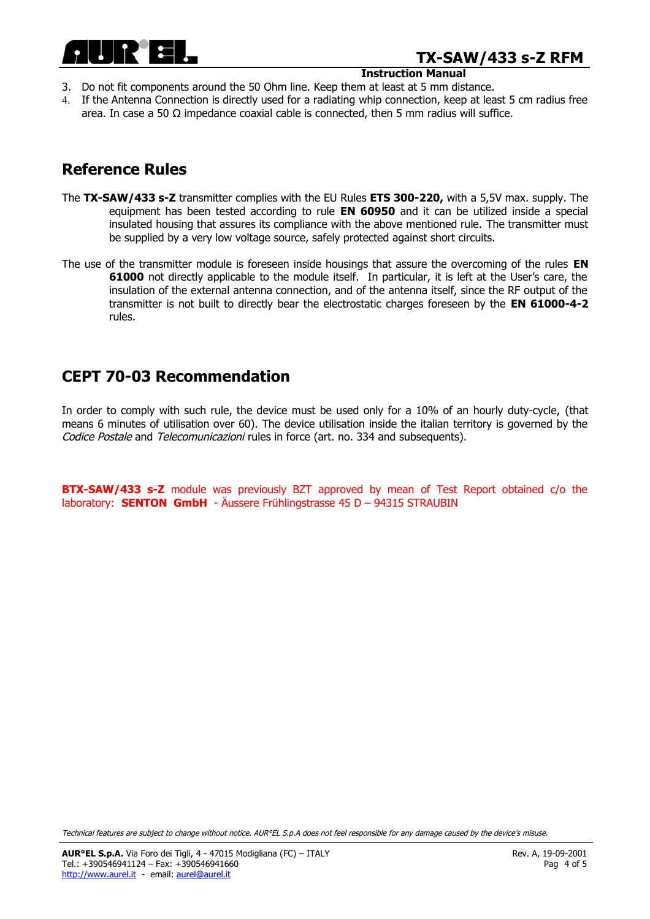

# **TX-SAW/433 s-Z RFM**

#### **Instruction Manual**

- 3. Do not fit components around the 50 Ohm line. Keep them at least at 5 mm distance.
- 4. If the Antenna Connection is directly used for a radiating whip connection, keep at least 5 cm radius free area. In case a 50  $\Omega$  impedance coaxial cable is connected, then 5 mm radius will suffice.

### **Reference Rules**

- The **TX-SAW/433 s-Z** transmitter complies with the EU Rules **ETS 300-220,** with a 5,5V max. supply. The equipment has been tested according to rule **EN 60950** and it can be utilized inside a special insulated housing that assures its compliance with the above mentioned rule. The transmitter must be supplied by a very low voltage source, safely protected against short circuits.
- The use of the transmitter module is foreseen inside housings that assure the overcoming of the rules **EN 61000** not directly applicable to the module itself. In particular, it is left at the User's care, the insulation of the external antenna connection, and of the antenna itself, since the RF output of the transmitter is not built to directly bear the electrostatic charges foreseen by the **EN 61000-4-2** rules.

### **CEPT 70-03 Recommendation**

In order to comply with such rule, the device must be used only for a 10% of an hourly duty-cycle, (that means 6 minutes of utilisation over 60). The device utilisation inside the italian territory is governed by the Codice Postale and Telecomunicazioni rules in force (art. no. 334 and subsequents).

**BTX-SAW/433 s-Z** module was previously BZT approved by mean of Test Report obtained c/o the laboratory: **SENTON GmbH** - Äussere Frühlingstrasse 45 D – 94315 STRAUBIN